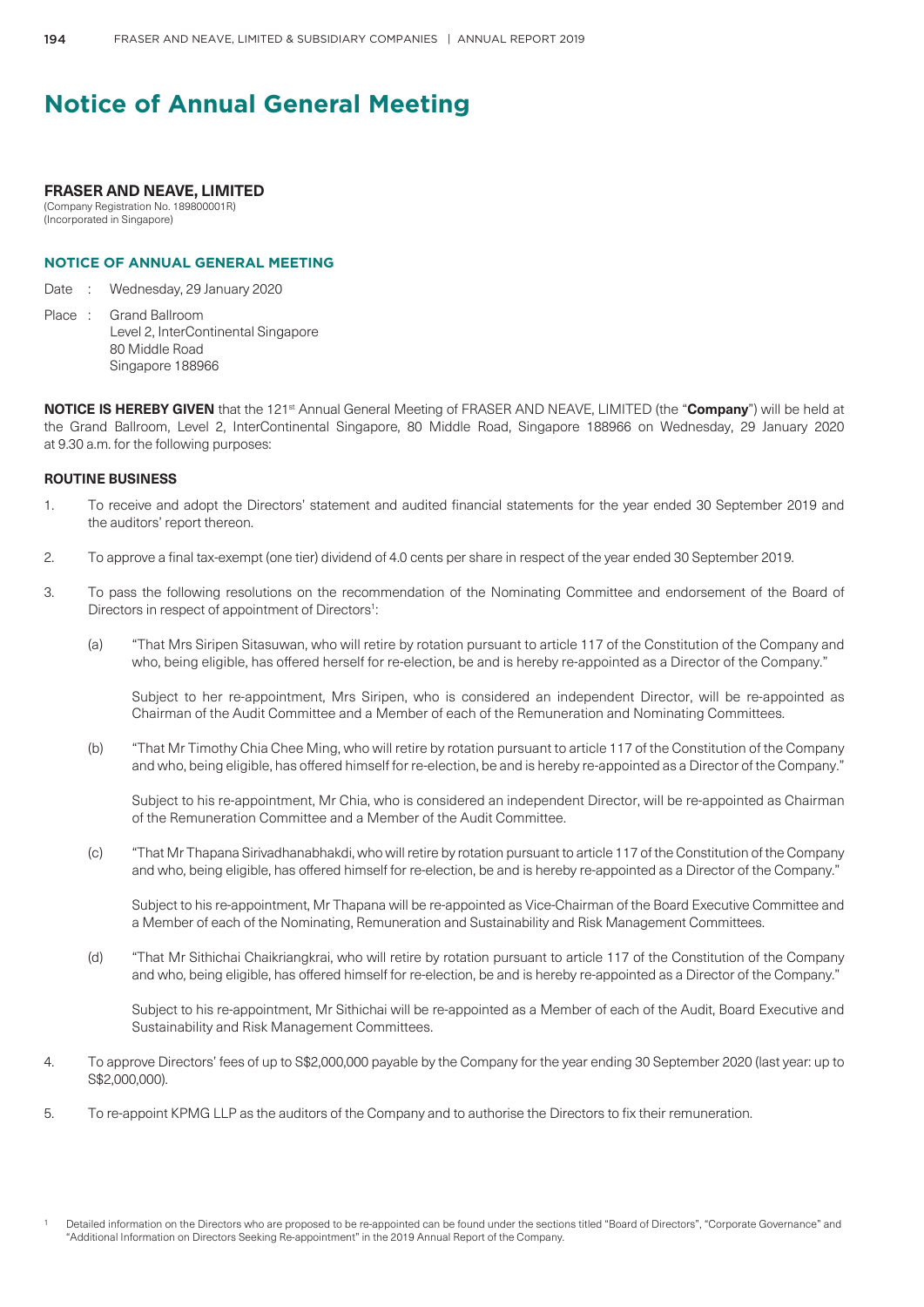### **FRASER AND NEAVE, LIMITED**

(Company Registration No. 189800001R) (Incorporated in Singapore)

## **NOTICE OF ANNUAL GENERAL MEETING**

Date : Wednesday, 29 January 2020

Place : Grand Ballroom Level 2, InterContinental Singapore 80 Middle Road Singapore 188966

**NOTICE IS HEREBY GIVEN** that the 121<sup>st</sup> Annual General Meeting of FRASER AND NEAVE, LIMITED (the "Company") will be held at the Grand Ballroom, Level 2, InterContinental Singapore, 80 Middle Road, Singapore 188966 on Wednesday, 29 January 2020 at 9.30 a.m. for the following purposes:

### **ROUTINE BUSINESS**

- 1. To receive and adopt the Directors' statement and audited financial statements for the year ended 30 September 2019 and the auditors' report thereon.
- 2. To approve a final tax-exempt (one tier) dividend of 4.0 cents per share in respect of the year ended 30 September 2019.
- 3. To pass the following resolutions on the recommendation of the Nominating Committee and endorsement of the Board of Directors in respect of appointment of Directors<sup>1</sup>:
	- (a) "That Mrs Siripen Sitasuwan, who will retire by rotation pursuant to article 117 of the Constitution of the Company and who, being eligible, has offered herself for re-election, be and is hereby re-appointed as a Director of the Company."

Subject to her re-appointment, Mrs Siripen, who is considered an independent Director, will be re-appointed as Chairman of the Audit Committee and a Member of each of the Remuneration and Nominating Committees.

(b) "That Mr Timothy Chia Chee Ming, who will retire by rotation pursuant to article 117 of the Constitution of the Company and who, being eligible, has offered himself for re-election, be and is hereby re-appointed as a Director of the Company."

Subject to his re-appointment, Mr Chia, who is considered an independent Director, will be re-appointed as Chairman of the Remuneration Committee and a Member of the Audit Committee.

(c) "That Mr Thapana Sirivadhanabhakdi, who will retire by rotation pursuant to article 117 of the Constitution of the Company and who, being eligible, has offered himself for re-election, be and is hereby re-appointed as a Director of the Company."

 Subject to his re-appointment, Mr Thapana will be re-appointed as Vice-Chairman of the Board Executive Committee and a Member of each of the Nominating, Remuneration and Sustainability and Risk Management Committees.

(d) "That Mr Sithichai Chaikriangkrai, who will retire by rotation pursuant to article 117 of the Constitution of the Company and who, being eligible, has offered himself for re-election, be and is hereby re-appointed as a Director of the Company."

 Subject to his re-appointment, Mr Sithichai will be re-appointed as a Member of each of the Audit, Board Executive and Sustainability and Risk Management Committees.

- 4. To approve Directors' fees of up to S\$2,000,000 payable by the Company for the year ending 30 September 2020 (last year: up to S\$2,000,000).
- 5. To re-appoint KPMG LLP as the auditors of the Company and to authorise the Directors to fix their remuneration.

Detailed information on the Directors who are proposed to be re-appointed can be found under the sections titled "Board of Directors", "Corporate Governance" and "Additional Information on Directors Seeking Re-appointment" in the 2019 Annual Report of the Company.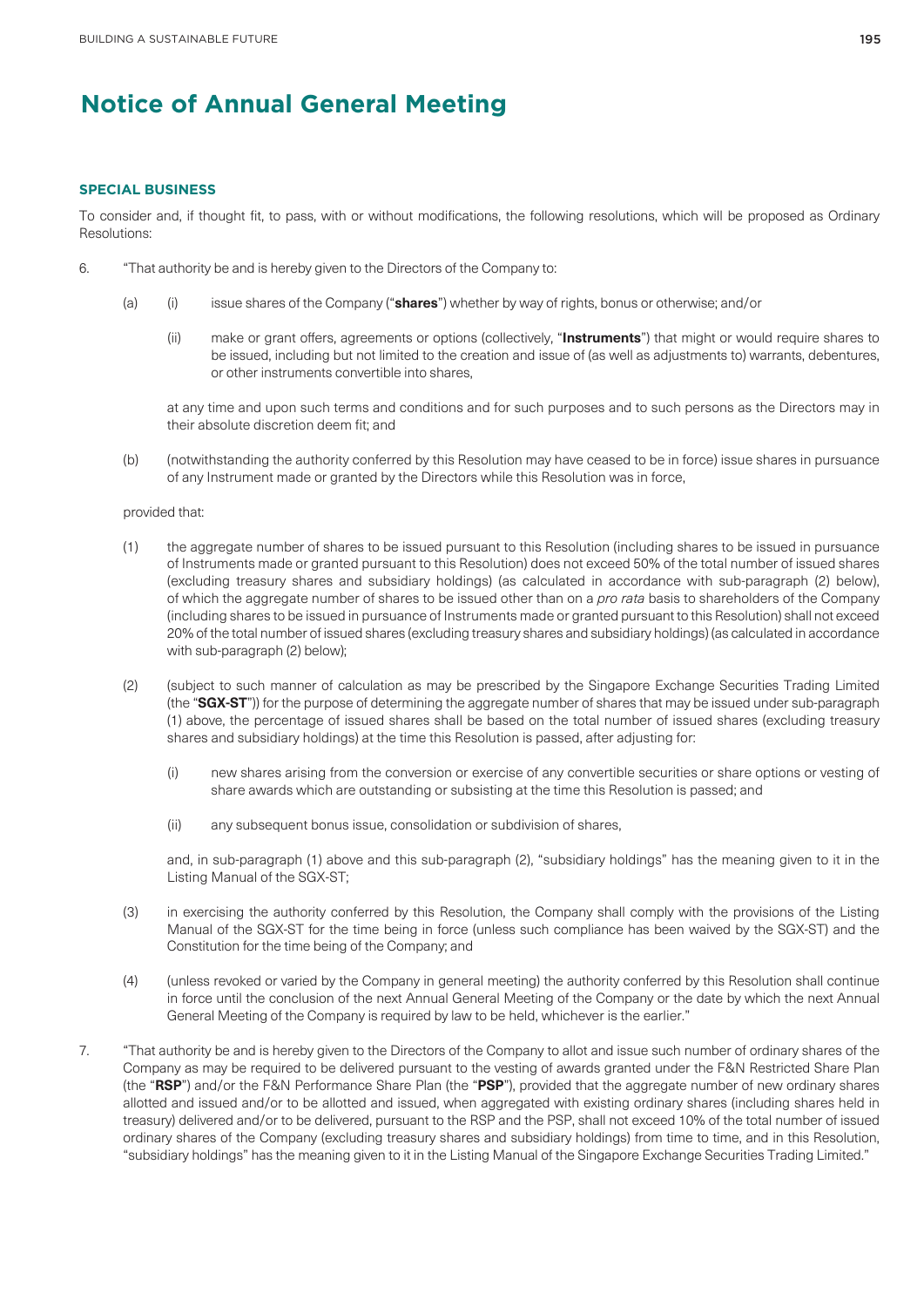#### **SPECIAL BUSINESS**

To consider and, if thought fit, to pass, with or without modifications, the following resolutions, which will be proposed as Ordinary Resolutions:

- 6. "That authority be and is hereby given to the Directors of the Company to:
	- (a) (i) issue shares of the Company ("**shares**") whether by way of rights, bonus or otherwise; and/or
		- (ii) make or grant offers, agreements or options (collectively, "**Instruments**") that might or would require shares to be issued, including but not limited to the creation and issue of (as well as adjustments to) warrants, debentures, or other instruments convertible into shares,

at any time and upon such terms and conditions and for such purposes and to such persons as the Directors may in their absolute discretion deem fit; and

(b) (notwithstanding the authority conferred by this Resolution may have ceased to be in force) issue shares in pursuance of any Instrument made or granted by the Directors while this Resolution was in force,

#### provided that:

- (1) the aggregate number of shares to be issued pursuant to this Resolution (including shares to be issued in pursuance of Instruments made or granted pursuant to this Resolution) does not exceed 50% of the total number of issued shares (excluding treasury shares and subsidiary holdings) (as calculated in accordance with sub-paragraph (2) below), of which the aggregate number of shares to be issued other than on a *pro rata* basis to shareholders of the Company (including shares to be issued in pursuance of Instruments made or granted pursuant to this Resolution) shall not exceed 20% of the total number of issued shares (excluding treasury shares and subsidiary holdings) (as calculated in accordance with sub-paragraph (2) below);
- (2) (subject to such manner of calculation as may be prescribed by the Singapore Exchange Securities Trading Limited (the "**SGX-ST**")) for the purpose of determining the aggregate number of shares that may be issued under sub-paragraph (1) above, the percentage of issued shares shall be based on the total number of issued shares (excluding treasury shares and subsidiary holdings) at the time this Resolution is passed, after adjusting for:
	- (i) new shares arising from the conversion or exercise of any convertible securities or share options or vesting of share awards which are outstanding or subsisting at the time this Resolution is passed; and
	- (ii) any subsequent bonus issue, consolidation or subdivision of shares,

and, in sub-paragraph (1) above and this sub-paragraph (2), "subsidiary holdings" has the meaning given to it in the Listing Manual of the SGX-ST;

- (3) in exercising the authority conferred by this Resolution, the Company shall comply with the provisions of the Listing Manual of the SGX-ST for the time being in force (unless such compliance has been waived by the SGX-ST) and the Constitution for the time being of the Company; and
- (4) (unless revoked or varied by the Company in general meeting) the authority conferred by this Resolution shall continue in force until the conclusion of the next Annual General Meeting of the Company or the date by which the next Annual General Meeting of the Company is required by law to be held, whichever is the earlier."
- 7. "That authority be and is hereby given to the Directors of the Company to allot and issue such number of ordinary shares of the Company as may be required to be delivered pursuant to the vesting of awards granted under the F&N Restricted Share Plan (the "**RSP**") and/or the F&N Performance Share Plan (the "**PSP**"), provided that the aggregate number of new ordinary shares allotted and issued and/or to be allotted and issued, when aggregated with existing ordinary shares (including shares held in treasury) delivered and/or to be delivered, pursuant to the RSP and the PSP, shall not exceed 10% of the total number of issued ordinary shares of the Company (excluding treasury shares and subsidiary holdings) from time to time, and in this Resolution, "subsidiary holdings" has the meaning given to it in the Listing Manual of the Singapore Exchange Securities Trading Limited."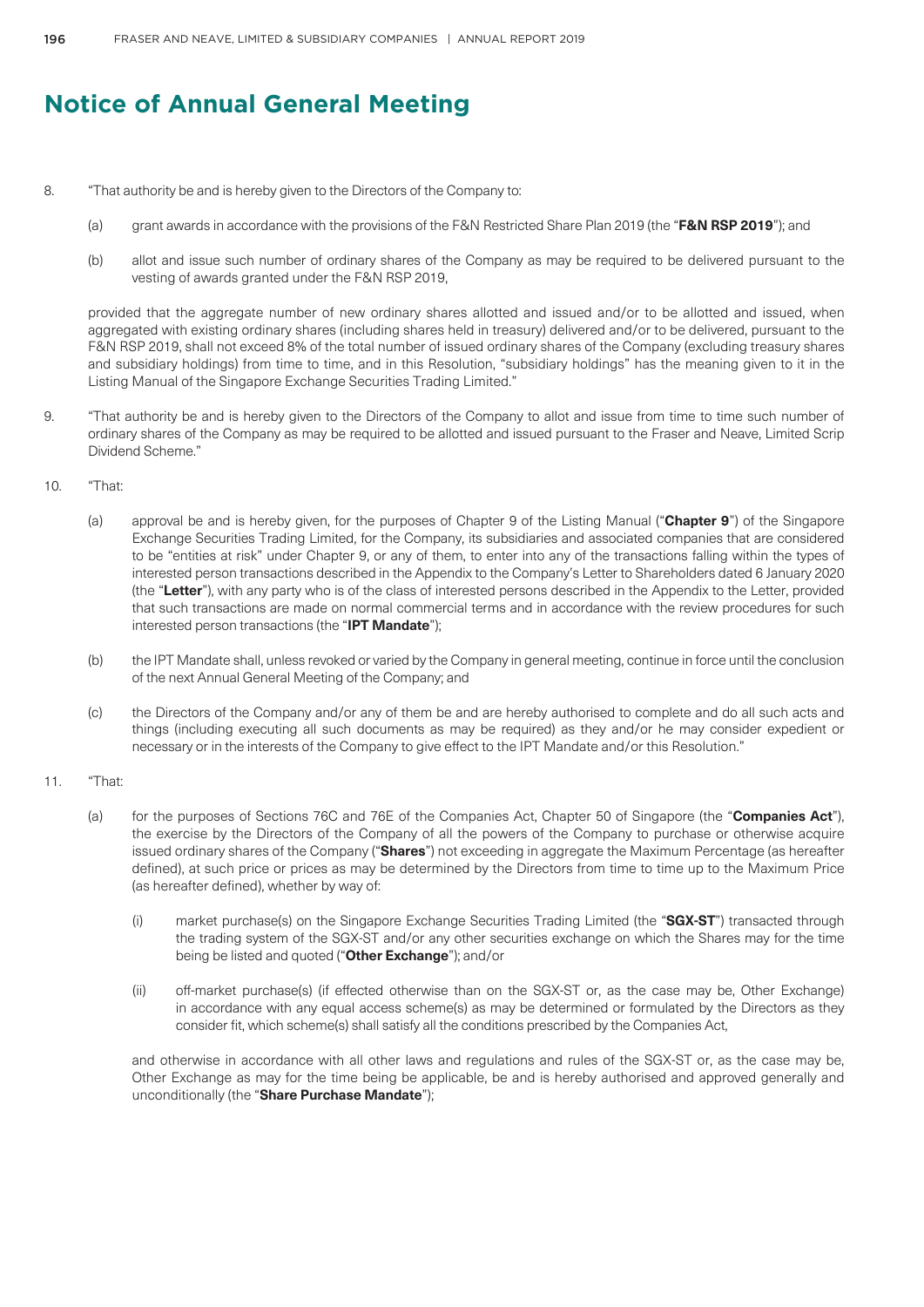- 8. "That authority be and is hereby given to the Directors of the Company to:
	- (a) grant awards in accordance with the provisions of the F&N Restricted Share Plan 2019 (the "**F&N RSP 2019**"); and
	- (b) allot and issue such number of ordinary shares of the Company as may be required to be delivered pursuant to the vesting of awards granted under the F&N RSP 2019,

provided that the aggregate number of new ordinary shares allotted and issued and/or to be allotted and issued, when aggregated with existing ordinary shares (including shares held in treasury) delivered and/or to be delivered, pursuant to the F&N RSP 2019, shall not exceed 8% of the total number of issued ordinary shares of the Company (excluding treasury shares and subsidiary holdings) from time to time, and in this Resolution, "subsidiary holdings" has the meaning given to it in the Listing Manual of the Singapore Exchange Securities Trading Limited."

- 9. "That authority be and is hereby given to the Directors of the Company to allot and issue from time to time such number of ordinary shares of the Company as may be required to be allotted and issued pursuant to the Fraser and Neave, Limited Scrip Dividend Scheme."
- 10. "That:
	- (a) approval be and is hereby given, for the purposes of Chapter 9 of the Listing Manual ("**Chapter 9**") of the Singapore Exchange Securities Trading Limited, for the Company, its subsidiaries and associated companies that are considered to be "entities at risk" under Chapter 9, or any of them, to enter into any of the transactions falling within the types of interested person transactions described in the Appendix to the Company's Letter to Shareholders dated 6 January 2020 (the "**Letter**"), with any party who is of the class of interested persons described in the Appendix to the Letter, provided that such transactions are made on normal commercial terms and in accordance with the review procedures for such interested person transactions (the "**IPT Mandate**");
	- (b) the IPT Mandate shall, unless revoked or varied by the Company in general meeting, continue in force until the conclusion of the next Annual General Meeting of the Company; and
	- (c) the Directors of the Company and/or any of them be and are hereby authorised to complete and do all such acts and things (including executing all such documents as may be required) as they and/or he may consider expedient or necessary or in the interests of the Company to give effect to the IPT Mandate and/or this Resolution."

#### 11. "That:

- (a) for the purposes of Sections 76C and 76E of the Companies Act, Chapter 50 of Singapore (the "**Companies Act**"), the exercise by the Directors of the Company of all the powers of the Company to purchase or otherwise acquire issued ordinary shares of the Company ("**Shares**") not exceeding in aggregate the Maximum Percentage (as hereafter defined), at such price or prices as may be determined by the Directors from time to time up to the Maximum Price (as hereafter defined), whether by way of:
	- (i) market purchase(s) on the Singapore Exchange Securities Trading Limited (the "**SGX-ST**") transacted through the trading system of the SGX-ST and/or any other securities exchange on which the Shares may for the time being be listed and quoted ("**Other Exchange**"); and/or
	- (ii) off-market purchase(s) (if effected otherwise than on the SGX-ST or, as the case may be, Other Exchange) in accordance with any equal access scheme(s) as may be determined or formulated by the Directors as they consider fit, which scheme(s) shall satisfy all the conditions prescribed by the Companies Act,

and otherwise in accordance with all other laws and regulations and rules of the SGX-ST or, as the case may be, Other Exchange as may for the time being be applicable, be and is hereby authorised and approved generally and unconditionally (the "**Share Purchase Mandate**");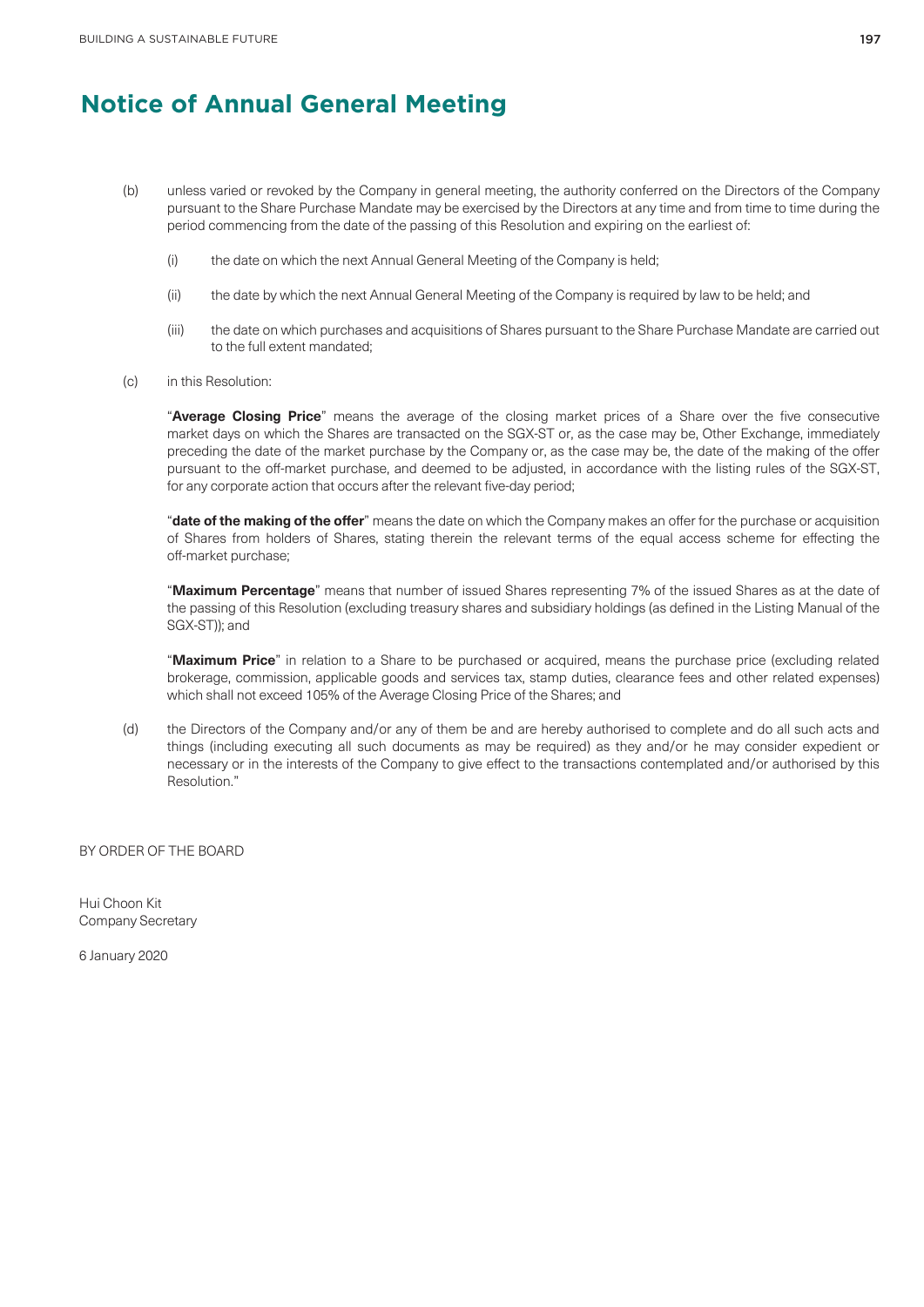- (b) unless varied or revoked by the Company in general meeting, the authority conferred on the Directors of the Company pursuant to the Share Purchase Mandate may be exercised by the Directors at any time and from time to time during the period commencing from the date of the passing of this Resolution and expiring on the earliest of:
	- (i) the date on which the next Annual General Meeting of the Company is held;
	- (ii) the date by which the next Annual General Meeting of the Company is required by law to be held; and
	- (iii) the date on which purchases and acquisitions of Shares pursuant to the Share Purchase Mandate are carried out to the full extent mandated;
- (c) in this Resolution:

"**Average Closing Price**" means the average of the closing market prices of a Share over the five consecutive market days on which the Shares are transacted on the SGX-ST or, as the case may be, Other Exchange, immediately preceding the date of the market purchase by the Company or, as the case may be, the date of the making of the offer pursuant to the off-market purchase, and deemed to be adjusted, in accordance with the listing rules of the SGX-ST, for any corporate action that occurs after the relevant five-day period;

"**date of the making of the offer**" means the date on which the Company makes an offer for the purchase or acquisition of Shares from holders of Shares, stating therein the relevant terms of the equal access scheme for effecting the off-market purchase;

"**Maximum Percentage**" means that number of issued Shares representing 7% of the issued Shares as at the date of the passing of this Resolution (excluding treasury shares and subsidiary holdings (as defined in the Listing Manual of the SGX-ST)); and

"**Maximum Price**" in relation to a Share to be purchased or acquired, means the purchase price (excluding related brokerage, commission, applicable goods and services tax, stamp duties, clearance fees and other related expenses) which shall not exceed 105% of the Average Closing Price of the Shares; and

(d) the Directors of the Company and/or any of them be and are hereby authorised to complete and do all such acts and things (including executing all such documents as may be required) as they and/or he may consider expedient or necessary or in the interests of the Company to give effect to the transactions contemplated and/or authorised by this Resolution."

BY ORDER OF THE BOARD

Hui Choon Kit Company Secretary

6 January 2020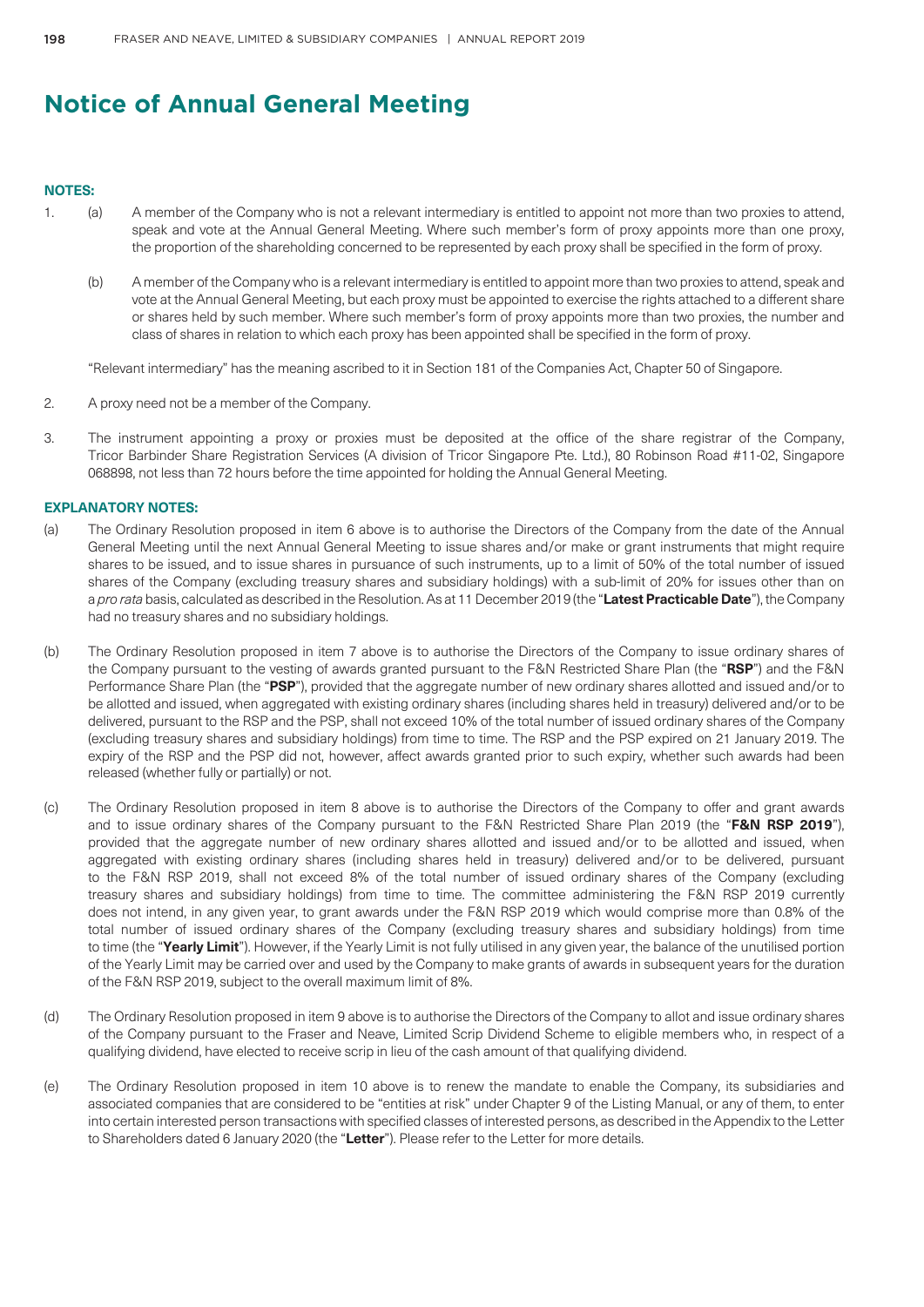### **NOTES:**

- 1. (a) A member of the Company who is not a relevant intermediary is entitled to appoint not more than two proxies to attend, speak and vote at the Annual General Meeting. Where such member's form of proxy appoints more than one proxy, the proportion of the shareholding concerned to be represented by each proxy shall be specified in the form of proxy.
	- (b) A member of the Company who is a relevant intermediary is entitled to appoint more than two proxies to attend, speak and vote at the Annual General Meeting, but each proxy must be appointed to exercise the rights attached to a different share or shares held by such member. Where such member's form of proxy appoints more than two proxies, the number and class of shares in relation to which each proxy has been appointed shall be specified in the form of proxy.

"Relevant intermediary" has the meaning ascribed to it in Section 181 of the Companies Act, Chapter 50 of Singapore.

- 2. A proxy need not be a member of the Company.
- 3. The instrument appointing a proxy or proxies must be deposited at the office of the share registrar of the Company, Tricor Barbinder Share Registration Services (A division of Tricor Singapore Pte. Ltd.), 80 Robinson Road #11-02, Singapore 068898, not less than 72 hours before the time appointed for holding the Annual General Meeting.

### **EXPLANATORY NOTES:**

- (a) The Ordinary Resolution proposed in item 6 above is to authorise the Directors of the Company from the date of the Annual General Meeting until the next Annual General Meeting to issue shares and/or make or grant instruments that might require shares to be issued, and to issue shares in pursuance of such instruments, up to a limit of 50% of the total number of issued shares of the Company (excluding treasury shares and subsidiary holdings) with a sub-limit of 20% for issues other than on a *pro rata* basis, calculated as described in the Resolution. As at 11 December 2019 (the "**Latest Practicable Date**"), the Company had no treasury shares and no subsidiary holdings.
- (b) The Ordinary Resolution proposed in item 7 above is to authorise the Directors of the Company to issue ordinary shares of the Company pursuant to the vesting of awards granted pursuant to the F&N Restricted Share Plan (the "**RSP**") and the F&N Performance Share Plan (the "**PSP**"), provided that the aggregate number of new ordinary shares allotted and issued and/or to be allotted and issued, when aggregated with existing ordinary shares (including shares held in treasury) delivered and/or to be delivered, pursuant to the RSP and the PSP, shall not exceed 10% of the total number of issued ordinary shares of the Company (excluding treasury shares and subsidiary holdings) from time to time. The RSP and the PSP expired on 21 January 2019. The expiry of the RSP and the PSP did not, however, affect awards granted prior to such expiry, whether such awards had been released (whether fully or partially) or not.
- (c) The Ordinary Resolution proposed in item 8 above is to authorise the Directors of the Company to offer and grant awards and to issue ordinary shares of the Company pursuant to the F&N Restricted Share Plan 2019 (the "**F&N RSP 2019**"), provided that the aggregate number of new ordinary shares allotted and issued and/or to be allotted and issued, when aggregated with existing ordinary shares (including shares held in treasury) delivered and/or to be delivered, pursuant to the F&N RSP 2019, shall not exceed 8% of the total number of issued ordinary shares of the Company (excluding treasury shares and subsidiary holdings) from time to time. The committee administering the F&N RSP 2019 currently does not intend, in any given year, to grant awards under the F&N RSP 2019 which would comprise more than 0.8% of the total number of issued ordinary shares of the Company (excluding treasury shares and subsidiary holdings) from time to time (the "**Yearly Limit**"). However, if the Yearly Limit is not fully utilised in any given year, the balance of the unutilised portion of the Yearly Limit may be carried over and used by the Company to make grants of awards in subsequent years for the duration of the F&N RSP 2019, subject to the overall maximum limit of 8%.
- (d) The Ordinary Resolution proposed in item 9 above is to authorise the Directors of the Company to allot and issue ordinary shares of the Company pursuant to the Fraser and Neave, Limited Scrip Dividend Scheme to eligible members who, in respect of a qualifying dividend, have elected to receive scrip in lieu of the cash amount of that qualifying dividend.
- (e) The Ordinary Resolution proposed in item 10 above is to renew the mandate to enable the Company, its subsidiaries and associated companies that are considered to be "entities at risk" under Chapter 9 of the Listing Manual, or any of them, to enter into certain interested person transactions with specified classes of interested persons, as described in the Appendix to the Letter to Shareholders dated 6 January 2020 (the "**Letter**"). Please refer to the Letter for more details.